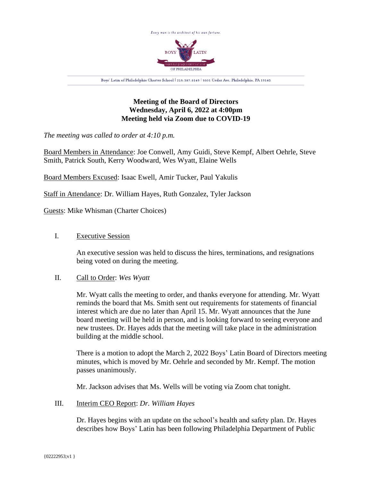

# **Meeting of the Board of Directors Wednesday, April 6, 2022 at 4:00pm Meeting held via Zoom due to COVID-19**

*The meeting was called to order at 4:10 p.m.*

Board Members in Attendance: Joe Conwell, Amy Guidi, Steve Kempf, Albert Oehrle, Steve Smith, Patrick South, Kerry Woodward, Wes Wyatt, Elaine Wells

Board Members Excused: Isaac Ewell, Amir Tucker, Paul Yakulis

Staff in Attendance: Dr. William Hayes, Ruth Gonzalez, Tyler Jackson

Guests: Mike Whisman (Charter Choices)

# I. Executive Session

An executive session was held to discuss the hires, terminations, and resignations being voted on during the meeting.

# II. Call to Order: *Wes Wyatt*

Mr. Wyatt calls the meeting to order, and thanks everyone for attending. Mr. Wyatt reminds the board that Ms. Smith sent out requirements for statements of financial interest which are due no later than April 15. Mr. Wyatt announces that the June board meeting will be held in person, and is looking forward to seeing everyone and new trustees. Dr. Hayes adds that the meeting will take place in the administration building at the middle school.

There is a motion to adopt the March 2, 2022 Boys' Latin Board of Directors meeting minutes, which is moved by Mr. Oehrle and seconded by Mr. Kempf. The motion passes unanimously.

Mr. Jackson advises that Ms. Wells will be voting via Zoom chat tonight.

# III. Interim CEO Report: *Dr. William Hayes*

Dr. Hayes begins with an update on the school's health and safety plan. Dr. Hayes describes how Boys' Latin has been following Philadelphia Department of Public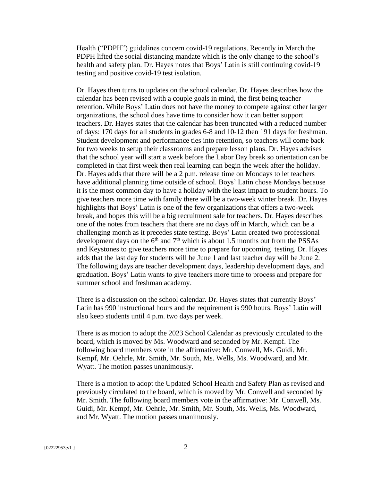Health ("PDPH") guidelines concern covid-19 regulations. Recently in March the PDPH lifted the social distancing mandate which is the only change to the school's health and safety plan. Dr. Hayes notes that Boys' Latin is still continuing covid-19 testing and positive covid-19 test isolation.

Dr. Hayes then turns to updates on the school calendar. Dr. Hayes describes how the calendar has been revised with a couple goals in mind, the first being teacher retention. While Boys' Latin does not have the money to compete against other larger organizations, the school does have time to consider how it can better support teachers. Dr. Hayes states that the calendar has been truncated with a reduced number of days: 170 days for all students in grades 6-8 and 10-12 then 191 days for freshman. Student development and performance ties into retention, so teachers will come back for two weeks to setup their classrooms and prepare lesson plans. Dr. Hayes advises that the school year will start a week before the Labor Day break so orientation can be completed in that first week then real learning can begin the week after the holiday. Dr. Hayes adds that there will be a 2 p.m. release time on Mondays to let teachers have additional planning time outside of school. Boys' Latin chose Mondays because it is the most common day to have a holiday with the least impact to student hours. To give teachers more time with family there will be a two-week winter break. Dr. Hayes highlights that Boys' Latin is one of the few organizations that offers a two-week break, and hopes this will be a big recruitment sale for teachers. Dr. Hayes describes one of the notes from teachers that there are no days off in March, which can be a challenging month as it precedes state testing. Boys' Latin created two professional development days on the  $6<sup>th</sup>$  and  $7<sup>th</sup>$  which is about 1.5 months out from the PSSAs and Keystones to give teachers more time to prepare for upcoming testing. Dr. Hayes adds that the last day for students will be June 1 and last teacher day will be June 2. The following days are teacher development days, leadership development days, and graduation. Boys' Latin wants to give teachers more time to process and prepare for summer school and freshman academy.

There is a discussion on the school calendar. Dr. Hayes states that currently Boys' Latin has 990 instructional hours and the requirement is 990 hours. Boys' Latin will also keep students until 4 p.m. two days per week.

There is as motion to adopt the 2023 School Calendar as previously circulated to the board, which is moved by Ms. Woodward and seconded by Mr. Kempf. The following board members vote in the affirmative: Mr. Conwell, Ms. Guidi, Mr. Kempf, Mr. Oehrle, Mr. Smith, Mr. South, Ms. Wells, Ms. Woodward, and Mr. Wyatt. The motion passes unanimously.

There is a motion to adopt the Updated School Health and Safety Plan as revised and previously circulated to the board, which is moved by Mr. Conwell and seconded by Mr. Smith. The following board members vote in the affirmative: Mr. Conwell, Ms. Guidi, Mr. Kempf, Mr. Oehrle, Mr. Smith, Mr. South, Ms. Wells, Ms. Woodward, and Mr. Wyatt. The motion passes unanimously.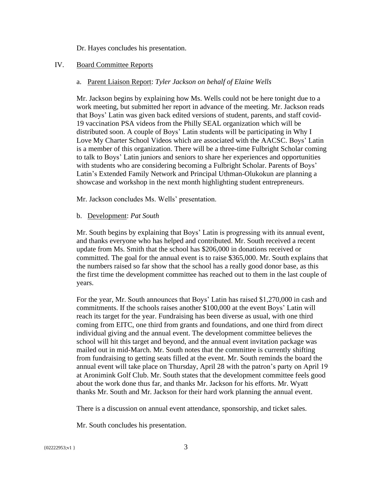Dr. Hayes concludes his presentation.

## IV. Board Committee Reports

### a. Parent Liaison Report: *Tyler Jackson on behalf of Elaine Wells*

Mr. Jackson begins by explaining how Ms. Wells could not be here tonight due to a work meeting, but submitted her report in advance of the meeting. Mr. Jackson reads that Boys' Latin was given back edited versions of student, parents, and staff covid-19 vaccination PSA videos from the Philly SEAL organization which will be distributed soon. A couple of Boys' Latin students will be participating in Why I Love My Charter School Videos which are associated with the AACSC. Boys' Latin is a member of this organization. There will be a three-time Fulbright Scholar coming to talk to Boys' Latin juniors and seniors to share her experiences and opportunities with students who are considering becoming a Fulbright Scholar. Parents of Boys' Latin's Extended Family Network and Principal Uthman-Olukokun are planning a showcase and workshop in the next month highlighting student entrepreneurs.

Mr. Jackson concludes Ms. Wells' presentation.

### b. Development: *Pat South*

Mr. South begins by explaining that Boys' Latin is progressing with its annual event, and thanks everyone who has helped and contributed. Mr. South received a recent update from Ms. Smith that the school has \$206,000 in donations received or committed. The goal for the annual event is to raise \$365,000. Mr. South explains that the numbers raised so far show that the school has a really good donor base, as this the first time the development committee has reached out to them in the last couple of years.

For the year, Mr. South announces that Boys' Latin has raised \$1,270,000 in cash and commitments. If the schools raises another \$100,000 at the event Boys' Latin will reach its target for the year. Fundraising has been diverse as usual, with one third coming from EITC, one third from grants and foundations, and one third from direct individual giving and the annual event. The development committee believes the school will hit this target and beyond, and the annual event invitation package was mailed out in mid-March. Mr. South notes that the committee is currently shifting from fundraising to getting seats filled at the event. Mr. South reminds the board the annual event will take place on Thursday, April 28 with the patron's party on April 19 at Aronimink Golf Club. Mr. South states that the development committee feels good about the work done thus far, and thanks Mr. Jackson for his efforts. Mr. Wyatt thanks Mr. South and Mr. Jackson for their hard work planning the annual event.

There is a discussion on annual event attendance, sponsorship, and ticket sales.

Mr. South concludes his presentation.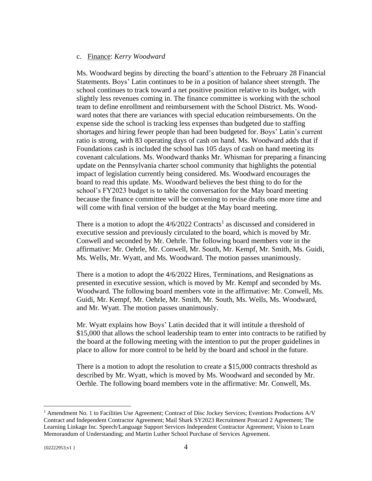#### c. Finance: *Kerry Woodward*

Ms. Woodward begins by directing the board's attention to the February 28 Financial Statements. Boys' Latin continues to be in a position of balance sheet strength. The school continues to track toward a net positive position relative to its budget, with slightly less revenues coming in. The finance committee is working with the school team to define enrollment and reimbursement with the School District. Ms. Woodward notes that there are variances with special education reimbursements. On the expense side the school is tracking less expenses than budgeted due to staffing shortages and hiring fewer people than had been budgeted for. Boys' Latin's current ratio is strong, with 83 operating days of cash on hand. Ms. Woodward adds that if Foundations cash is included the school has 105 days of cash on hand meeting its covenant calculations. Ms. Woodward thanks Mr. Whisman for preparing a financing update on the Pennsylvania charter school community that highlights the potential impact of legislation currently being considered. Ms. Woodward encourages the board to read this update. Ms. Woodward believes the best thing to do for the school's FY2023 budget is to table the conversation for the May board meeting because the finance committee will be convening to revise drafts one more time and will come with final version of the budget at the May board meeting.

There is a motion to adopt the  $4/6/2022$  Contracts<sup>1</sup> as discussed and considered in executive session and previously circulated to the board, which is moved by Mr. Conwell and seconded by Mr. Oehrle. The following board members vote in the affirmative: Mr. Oehrle, Mr. Conwell, Mr. South, Mr. Kempf, Mr. Smith, Ms. Guidi, Ms. Wells, Mr. Wyatt, and Ms. Woodward. The motion passes unanimously.

There is a motion to adopt the 4/6/2022 Hires, Terminations, and Resignations as presented in executive session, which is moved by Mr. Kempf and seconded by Ms. Woodward. The following board members vote in the affirmative: Mr. Conwell, Ms. Guidi, Mr. Kempf, Mr. Oehrle, Mr. Smith, Mr. South, Ms. Wells, Ms. Woodward, and Mr. Wyatt. The motion passes unanimously.

Mr. Wyatt explains how Boys' Latin decided that it will intitule a threshold of \$15,000 that allows the school leadership team to enter into contracts to be ratified by the board at the following meeting with the intention to put the proper guidelines in place to allow for more control to be held by the board and school in the future.

There is a motion to adopt the resolution to create a \$15,000 contracts threshold as described by Mr. Wyatt, which is moved by Ms. Woodward and seconded by Mr. Oerhle. The following board members vote in the affirmative: Mr. Conwell, Ms.

<sup>&</sup>lt;sup>1</sup> Amendment No. 1 to Facilities Use Agreement; Contract of Disc Jockey Services; Eventions Productions A/V Contract and Independent Contractor Agreement; Mail Shark SY2023 Recruitment Postcard 2 Agreement; The Learning Linkage Inc. Speech/Language Support Services Independent Contractor Agreement; Vision to Learn Memorandum of Understanding; and Martin Luther School Purchase of Services Agreement.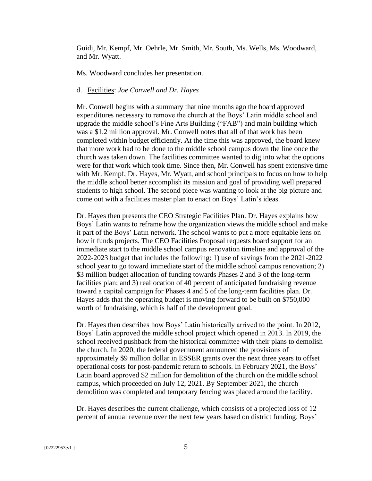Guidi, Mr. Kempf, Mr. Oehrle, Mr. Smith, Mr. South, Ms. Wells, Ms. Woodward, and Mr. Wyatt.

Ms. Woodward concludes her presentation.

#### d. Facilities: *Joe Conwell and Dr. Hayes*

Mr. Conwell begins with a summary that nine months ago the board approved expenditures necessary to remove the church at the Boys' Latin middle school and upgrade the middle school's Fine Arts Building ("FAB") and main building which was a \$1.2 million approval. Mr. Conwell notes that all of that work has been completed within budget efficiently. At the time this was approved, the board knew that more work had to be done to the middle school campus down the line once the church was taken down. The facilities committee wanted to dig into what the options were for that work which took time. Since then, Mr. Conwell has spent extensive time with Mr. Kempf, Dr. Hayes, Mr. Wyatt, and school principals to focus on how to help the middle school better accomplish its mission and goal of providing well prepared students to high school. The second piece was wanting to look at the big picture and come out with a facilities master plan to enact on Boys' Latin's ideas.

Dr. Hayes then presents the CEO Strategic Facilities Plan. Dr. Hayes explains how Boys' Latin wants to reframe how the organization views the middle school and make it part of the Boys' Latin network. The school wants to put a more equitable lens on how it funds projects. The CEO Facilities Proposal requests board support for an immediate start to the middle school campus renovation timeline and approval of the 2022-2023 budget that includes the following: 1) use of savings from the 2021-2022 school year to go toward immediate start of the middle school campus renovation; 2) \$3 million budget allocation of funding towards Phases 2 and 3 of the long-term facilities plan; and 3) reallocation of 40 percent of anticipated fundraising revenue toward a capital campaign for Phases 4 and 5 of the long-term facilities plan. Dr. Hayes adds that the operating budget is moving forward to be built on \$750,000 worth of fundraising, which is half of the development goal.

Dr. Hayes then describes how Boys' Latin historically arrived to the point. In 2012, Boys' Latin approved the middle school project which opened in 2013. In 2019, the school received pushback from the historical committee with their plans to demolish the church. In 2020, the federal government announced the provisions of approximately \$9 million dollar in ESSER grants over the next three years to offset operational costs for post-pandemic return to schools. In February 2021, the Boys' Latin board approved \$2 million for demolition of the church on the middle school campus, which proceeded on July 12, 2021. By September 2021, the church demolition was completed and temporary fencing was placed around the facility.

Dr. Hayes describes the current challenge, which consists of a projected loss of 12 percent of annual revenue over the next few years based on district funding. Boys'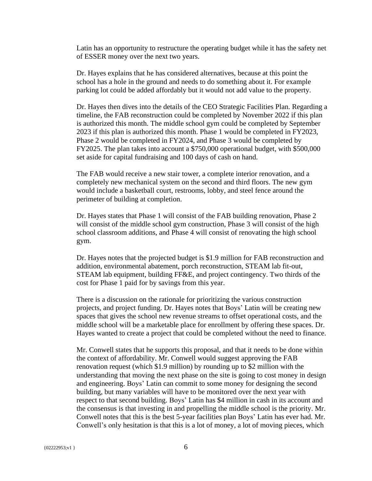Latin has an opportunity to restructure the operating budget while it has the safety net of ESSER money over the next two years.

Dr. Hayes explains that he has considered alternatives, because at this point the school has a hole in the ground and needs to do something about it. For example parking lot could be added affordably but it would not add value to the property.

Dr. Hayes then dives into the details of the CEO Strategic Facilities Plan. Regarding a timeline, the FAB reconstruction could be completed by November 2022 if this plan is authorized this month. The middle school gym could be completed by September 2023 if this plan is authorized this month. Phase 1 would be completed in FY2023, Phase 2 would be completed in FY2024, and Phase 3 would be completed by FY2025. The plan takes into account a \$750,000 operational budget, with \$500,000 set aside for capital fundraising and 100 days of cash on hand.

The FAB would receive a new stair tower, a complete interior renovation, and a completely new mechanical system on the second and third floors. The new gym would include a basketball court, restrooms, lobby, and steel fence around the perimeter of building at completion.

Dr. Hayes states that Phase 1 will consist of the FAB building renovation, Phase 2 will consist of the middle school gym construction, Phase 3 will consist of the high school classroom additions, and Phase 4 will consist of renovating the high school gym.

Dr. Hayes notes that the projected budget is \$1.9 million for FAB reconstruction and addition, environmental abatement, porch reconstruction, STEAM lab fit-out, STEAM lab equipment, building FF&E, and project contingency. Two thirds of the cost for Phase 1 paid for by savings from this year.

There is a discussion on the rationale for prioritizing the various construction projects, and project funding. Dr. Hayes notes that Boys' Latin will be creating new spaces that gives the school new revenue streams to offset operational costs, and the middle school will be a marketable place for enrollment by offering these spaces. Dr. Hayes wanted to create a project that could be completed without the need to finance.

Mr. Conwell states that he supports this proposal, and that it needs to be done within the context of affordability. Mr. Conwell would suggest approving the FAB renovation request (which \$1.9 million) by rounding up to \$2 million with the understanding that moving the next phase on the site is going to cost money in design and engineering. Boys' Latin can commit to some money for designing the second building, but many variables will have to be monitored over the next year with respect to that second building. Boys' Latin has \$4 million in cash in its account and the consensus is that investing in and propelling the middle school is the priority. Mr. Conwell notes that this is the best 5-year facilities plan Boys' Latin has ever had. Mr. Conwell's only hesitation is that this is a lot of money, a lot of moving pieces, which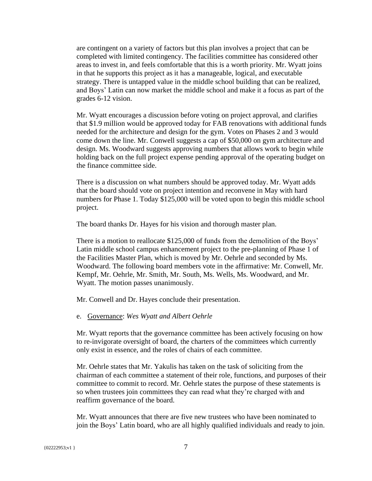are contingent on a variety of factors but this plan involves a project that can be completed with limited contingency. The facilities committee has considered other areas to invest in, and feels comfortable that this is a worth priority. Mr. Wyatt joins in that he supports this project as it has a manageable, logical, and executable strategy. There is untapped value in the middle school building that can be realized, and Boys' Latin can now market the middle school and make it a focus as part of the grades 6-12 vision.

Mr. Wyatt encourages a discussion before voting on project approval, and clarifies that \$1.9 million would be approved today for FAB renovations with additional funds needed for the architecture and design for the gym. Votes on Phases 2 and 3 would come down the line. Mr. Conwell suggests a cap of \$50,000 on gym architecture and design. Ms. Woodward suggests approving numbers that allows work to begin while holding back on the full project expense pending approval of the operating budget on the finance committee side.

There is a discussion on what numbers should be approved today. Mr. Wyatt adds that the board should vote on project intention and reconvene in May with hard numbers for Phase 1. Today \$125,000 will be voted upon to begin this middle school project.

The board thanks Dr. Hayes for his vision and thorough master plan.

There is a motion to reallocate \$125,000 of funds from the demolition of the Boys' Latin middle school campus enhancement project to the pre-planning of Phase 1 of the Facilities Master Plan, which is moved by Mr. Oehrle and seconded by Ms. Woodward. The following board members vote in the affirmative: Mr. Conwell, Mr. Kempf, Mr. Oehrle, Mr. Smith, Mr. South, Ms. Wells, Ms. Woodward, and Mr. Wyatt. The motion passes unanimously.

Mr. Conwell and Dr. Hayes conclude their presentation.

#### e. Governance: *Wes Wyatt and Albert Oehrle*

Mr. Wyatt reports that the governance committee has been actively focusing on how to re-invigorate oversight of board, the charters of the committees which currently only exist in essence, and the roles of chairs of each committee.

Mr. Oehrle states that Mr. Yakulis has taken on the task of soliciting from the chairman of each committee a statement of their role, functions, and purposes of their committee to commit to record. Mr. Oehrle states the purpose of these statements is so when trustees join committees they can read what they're charged with and reaffirm governance of the board.

Mr. Wyatt announces that there are five new trustees who have been nominated to join the Boys' Latin board, who are all highly qualified individuals and ready to join.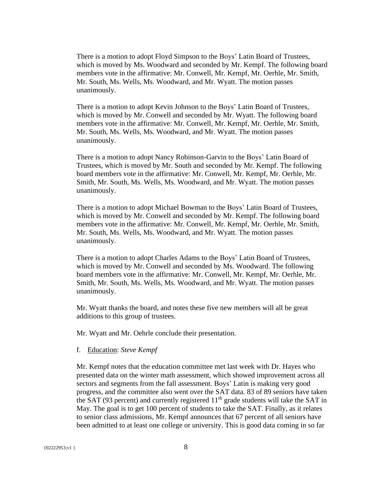There is a motion to adopt Floyd Simpson to the Boys' Latin Board of Trustees, which is moved by Ms. Woodward and seconded by Mr. Kempf. The following board members vote in the affirmative: Mr. Conwell, Mr. Kempf, Mr. Oerhle, Mr. Smith, Mr. South, Ms. Wells, Ms. Woodward, and Mr. Wyatt. The motion passes unanimously.

There is a motion to adopt Kevin Johnson to the Boys' Latin Board of Trustees, which is moved by Mr. Conwell and seconded by Mr. Wyatt. The following board members vote in the affirmative: Mr. Conwell, Mr. Kempf, Mr. Oerhle, Mr. Smith, Mr. South, Ms. Wells, Ms. Woodward, and Mr. Wyatt. The motion passes unanimously.

There is a motion to adopt Nancy Robinson-Garvin to the Boys' Latin Board of Trustees, which is moved by Mr. South and seconded by Mr. Kempf. The following board members vote in the affirmative: Mr. Conwell, Mr. Kempf, Mr. Oerhle, Mr. Smith, Mr. South, Ms. Wells, Ms. Woodward, and Mr. Wyatt. The motion passes unanimously.

There is a motion to adopt Michael Bowman to the Boys' Latin Board of Trustees, which is moved by Mr. Conwell and seconded by Mr. Kempf. The following board members vote in the affirmative: Mr. Conwell, Mr. Kempf, Mr. Oerhle, Mr. Smith, Mr. South, Ms. Wells, Ms. Woodward, and Mr. Wyatt. The motion passes unanimously.

There is a motion to adopt Charles Adams to the Boys' Latin Board of Trustees, which is moved by Mr. Conwell and seconded by Ms. Woodward. The following board members vote in the affirmative: Mr. Conwell, Mr. Kempf, Mr. Oerhle, Mr. Smith, Mr. South, Ms. Wells, Ms. Woodward, and Mr. Wyatt. The motion passes unanimously.

Mr. Wyatt thanks the board, and notes these five new members will all be great additions to this group of trustees.

Mr. Wyatt and Mr. Oehrle conclude their presentation.

#### f. Education: *Steve Kempf*

Mr. Kempf notes that the education committee met last week with Dr. Hayes who presented data on the winter math assessment, which showed improvement across all sectors and segments from the fall assessment. Boys' Latin is making very good progress, and the committee also went over the SAT data. 83 of 89 seniors have taken the SAT (93 percent) and currently registered  $11<sup>th</sup>$  grade students will take the SAT in May. The goal is to get 100 percent of students to take the SAT. Finally, as it relates to senior class admissions, Mr. Kempf announces that 67 percent of all seniors have been admitted to at least one college or university. This is good data coming in so far